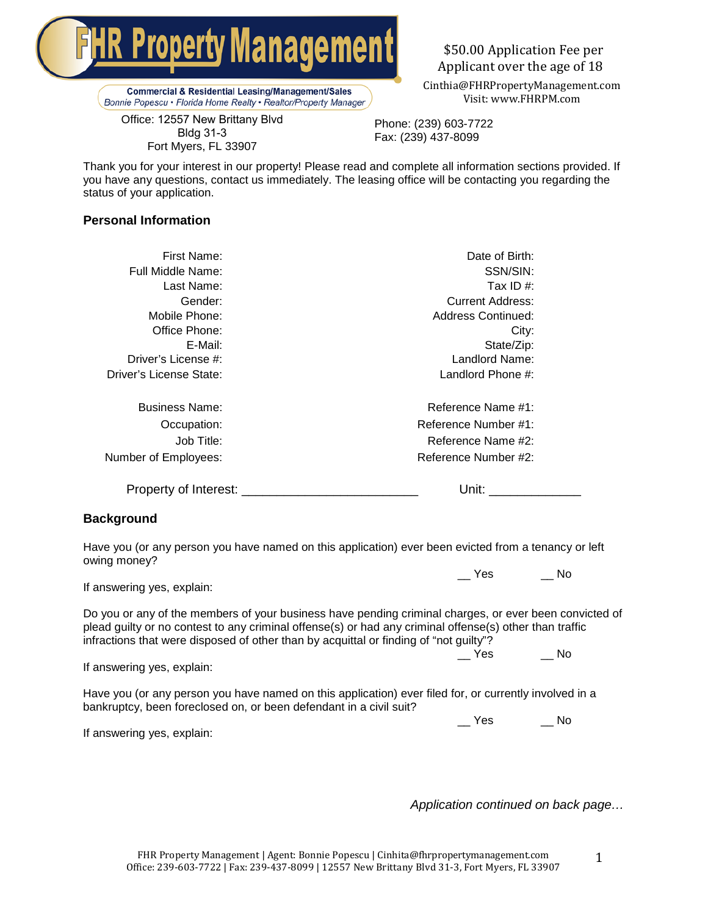**Property Managemer** 

**Commercial & Residential Leasing/Management/Sales** Bonnie Popescu • Florida Home Realty • Realtor/Property Manager

Office: 12557 New Brittany Blvd Bldg 31-3 Fort Myers, FL 33907

\$50.00 Application Fee per Applicant over the age of 18

Cinthia@FHRPropertyManagement.com Visit: www.FHRPM.com

Phone: (239) 603-7722 Fax: (239) 437-8099

Thank you for your interest in our property! Please read and complete all information sections provided. If you have any questions, contact us immediately. The leasing office will be contacting you regarding the status of your application.

### **Personal Information**

| First Name:<br>Full Middle Name:<br>Last Name:<br>Gender:<br>Mobile Phone:<br>Office Phone:<br>E-Mail:<br>Driver's License #:<br>Driver's License State:                                                                                                                                                                                                | Date of Birth:<br>SSN/SIN:<br>Tax ID $#$ :<br><b>Current Address:</b><br><b>Address Continued:</b><br>City:<br>State/Zip:<br>Landlord Name:<br>Landlord Phone #: |  |
|---------------------------------------------------------------------------------------------------------------------------------------------------------------------------------------------------------------------------------------------------------------------------------------------------------------------------------------------------------|------------------------------------------------------------------------------------------------------------------------------------------------------------------|--|
| <b>Business Name:</b><br>Occupation:<br>Job Title:<br>Number of Employees:                                                                                                                                                                                                                                                                              | Reference Name #1:<br>Reference Number #1:<br>Reference Name #2:<br>Reference Number #2:                                                                         |  |
|                                                                                                                                                                                                                                                                                                                                                         | Unit: __________________                                                                                                                                         |  |
| <b>Background</b>                                                                                                                                                                                                                                                                                                                                       |                                                                                                                                                                  |  |
| owing money?<br>If answering yes, explain:                                                                                                                                                                                                                                                                                                              | Have you (or any person you have named on this application) ever been evicted from a tenancy or left<br>Yes<br>No.                                               |  |
| Do you or any of the members of your business have pending criminal charges, or ever been convicted of<br>plead guilty or no contest to any criminal offense(s) or had any criminal offense(s) other than traffic<br>infractions that were disposed of other than by acquittal or finding of "not guilty"?<br>Yes<br>- No<br>If answering yes, explain: |                                                                                                                                                                  |  |

Have you (or any person you have named on this application) ever filed for, or currently involved in a bankruptcy, been foreclosed on, or been defendant in a civil suit?

If answering yes, explain:

*Application continued on back page…* 

\_\_ Yes \_\_ No

1